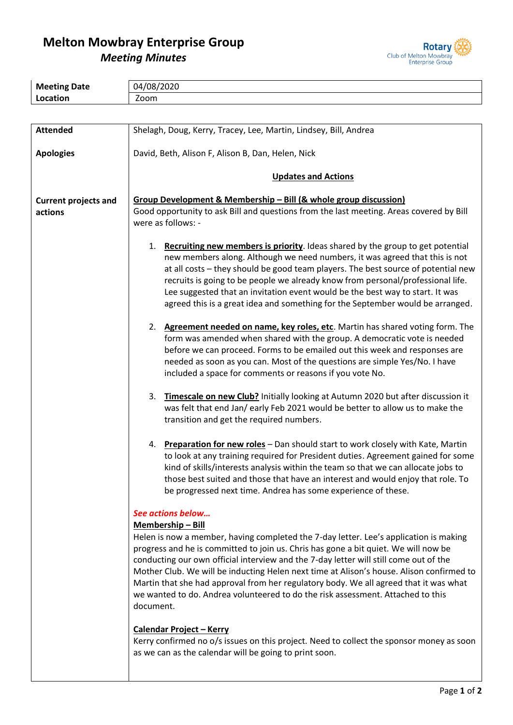## **Melton Mowbray Enterprise Group** *Meeting Minutes*



| <b>Meeting Date</b>         | 04/08/2020                                                                                                                                                                                                                                                                                                                                                                                                                                                                                                                                                                                                                                                                                                                                                                                  |  |  |  |
|-----------------------------|---------------------------------------------------------------------------------------------------------------------------------------------------------------------------------------------------------------------------------------------------------------------------------------------------------------------------------------------------------------------------------------------------------------------------------------------------------------------------------------------------------------------------------------------------------------------------------------------------------------------------------------------------------------------------------------------------------------------------------------------------------------------------------------------|--|--|--|
| Location                    | Zoom                                                                                                                                                                                                                                                                                                                                                                                                                                                                                                                                                                                                                                                                                                                                                                                        |  |  |  |
|                             |                                                                                                                                                                                                                                                                                                                                                                                                                                                                                                                                                                                                                                                                                                                                                                                             |  |  |  |
| <b>Attended</b>             |                                                                                                                                                                                                                                                                                                                                                                                                                                                                                                                                                                                                                                                                                                                                                                                             |  |  |  |
|                             | Shelagh, Doug, Kerry, Tracey, Lee, Martin, Lindsey, Bill, Andrea                                                                                                                                                                                                                                                                                                                                                                                                                                                                                                                                                                                                                                                                                                                            |  |  |  |
| <b>Apologies</b>            | David, Beth, Alison F, Alison B, Dan, Helen, Nick                                                                                                                                                                                                                                                                                                                                                                                                                                                                                                                                                                                                                                                                                                                                           |  |  |  |
|                             | <b>Updates and Actions</b>                                                                                                                                                                                                                                                                                                                                                                                                                                                                                                                                                                                                                                                                                                                                                                  |  |  |  |
| <b>Current projects and</b> | Group Development & Membership - Bill (& whole group discussion)                                                                                                                                                                                                                                                                                                                                                                                                                                                                                                                                                                                                                                                                                                                            |  |  |  |
| actions                     | Good opportunity to ask Bill and questions from the last meeting. Areas covered by Bill                                                                                                                                                                                                                                                                                                                                                                                                                                                                                                                                                                                                                                                                                                     |  |  |  |
|                             | were as follows: -                                                                                                                                                                                                                                                                                                                                                                                                                                                                                                                                                                                                                                                                                                                                                                          |  |  |  |
|                             | 1. Recruiting new members is priority. Ideas shared by the group to get potential<br>new members along. Although we need numbers, it was agreed that this is not<br>at all costs - they should be good team players. The best source of potential new<br>recruits is going to be people we already know from personal/professional life.<br>Lee suggested that an invitation event would be the best way to start. It was<br>agreed this is a great idea and something for the September would be arranged.                                                                                                                                                                                                                                                                                 |  |  |  |
|                             | 2. Agreement needed on name, key roles, etc. Martin has shared voting form. The<br>form was amended when shared with the group. A democratic vote is needed<br>before we can proceed. Forms to be emailed out this week and responses are<br>needed as soon as you can. Most of the questions are simple Yes/No. I have<br>included a space for comments or reasons if you vote No.                                                                                                                                                                                                                                                                                                                                                                                                         |  |  |  |
|                             | Timescale on new Club? Initially looking at Autumn 2020 but after discussion it<br>3.<br>was felt that end Jan/ early Feb 2021 would be better to allow us to make the<br>transition and get the required numbers.                                                                                                                                                                                                                                                                                                                                                                                                                                                                                                                                                                          |  |  |  |
|                             | Preparation for new roles - Dan should start to work closely with Kate, Martin<br>4.<br>to look at any training required for President duties. Agreement gained for some<br>kind of skills/interests analysis within the team so that we can allocate jobs to<br>those best suited and those that have an interest and would enjoy that role. To<br>be progressed next time. Andrea has some experience of these.                                                                                                                                                                                                                                                                                                                                                                           |  |  |  |
|                             | See actions below<br>Membership-Bill<br>Helen is now a member, having completed the 7-day letter. Lee's application is making<br>progress and he is committed to join us. Chris has gone a bit quiet. We will now be<br>conducting our own official interview and the 7-day letter will still come out of the<br>Mother Club. We will be inducting Helen next time at Alison's house. Alison confirmed to<br>Martin that she had approval from her regulatory body. We all agreed that it was what<br>we wanted to do. Andrea volunteered to do the risk assessment. Attached to this<br>document.<br><b>Calendar Project - Kerry</b><br>Kerry confirmed no o/s issues on this project. Need to collect the sponsor money as soon<br>as we can as the calendar will be going to print soon. |  |  |  |